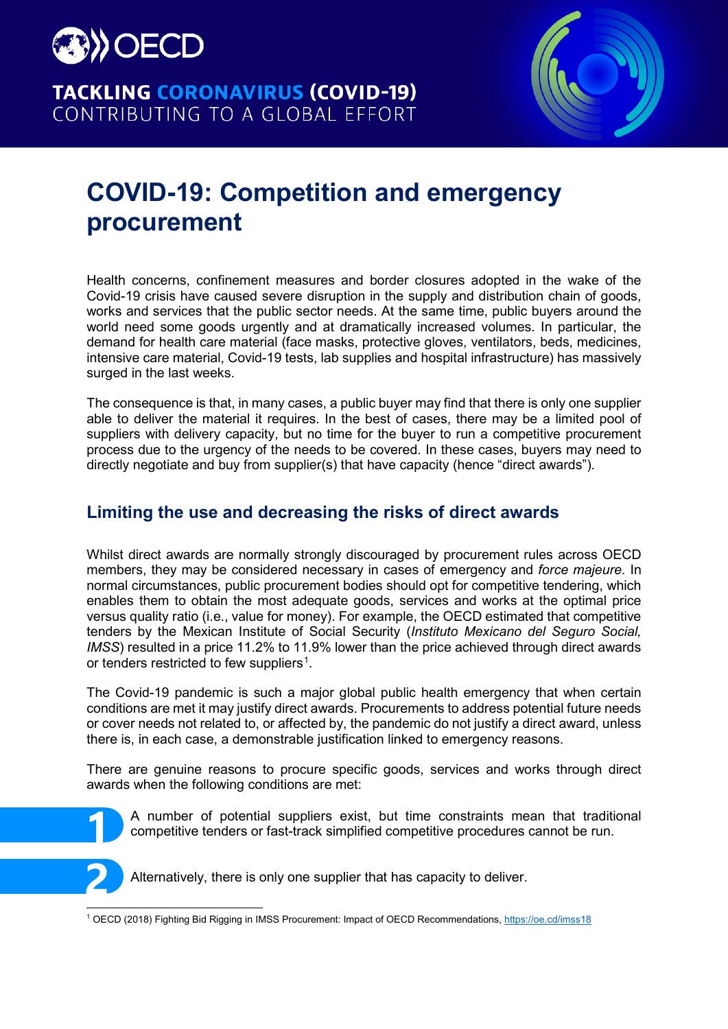

## **TACKLING CORONAVIRUS (COVID-19)** CONTRIBUTING TO A GLOBAL EFFORT



# **COVID-19: Competition and emergency procurement**

Health concerns, confinement measures and border closures adopted in the wake of the Covid-19 crisis have caused severe disruption in the supply and distribution chain of goods, works and services that the public sector needs. At the same time, public buyers around the world need some goods urgently and at dramatically increased volumes. In particular, the demand for health care material (face masks, protective gloves, ventilators, beds, medicines, intensive care material, Covid-19 tests, lab supplies and hospital infrastructure) has massively surged in the last weeks.

The consequence is that, in many cases, a public buyer may find that there is only one supplier able to deliver the material it requires. In the best of cases, there may be a limited pool of suppliers with delivery capacity, but no time for the buyer to run a competitive procurement process due to the urgency of the needs to be covered. In these cases, buyers may need to directly negotiate and buy from supplier(s) that have capacity (hence "direct awards").

## **Limiting the use and decreasing the risks of direct awards**

Whilst direct awards are normally strongly discouraged by procurement rules across OECD members, they may be considered necessary in cases of emergency and *force majeure*. In normal circumstances, public procurement bodies should opt for competitive tendering, which enables them to obtain the most adequate goods, services and works at the optimal price versus quality ratio (i.e., value for money). For example, the OECD estimated that competitive tenders by the Mexican Institute of Social Security (*Instituto Mexicano del Seguro Social, IMSS*) resulted in a price 11.2% to 11.9% lower than the price achieved through direct awards or tenders restricted to few suppliers $^{\rm 1}.$  $^{\rm 1}.$  $^{\rm 1}.$ 

The Covid-19 pandemic is such a major global public health emergency that when certain conditions are met it may justify direct awards. Procurements to address potential future needs or cover needs not related to, or affected by, the pandemic do not justify a direct award, unless there is, in each case, a demonstrable justification linked to emergency reasons.

There are genuine reasons to procure specific goods, services and works through direct awards when the following conditions are met:



• A number of potential suppliers exist, but time constraints mean that traditional competitive tenders or fast-track simplified competitive procedures cannot be run.



Alternatively, there is only one supplier that has capacity to deliver.

<span id="page-0-0"></span> $\overline{a}$ <sup>1</sup> OECD (2018) Fighting Bid Rigging in IMSS Procurement: Impact of OECD Recommendations, <u><https://oe.cd/imss18></u>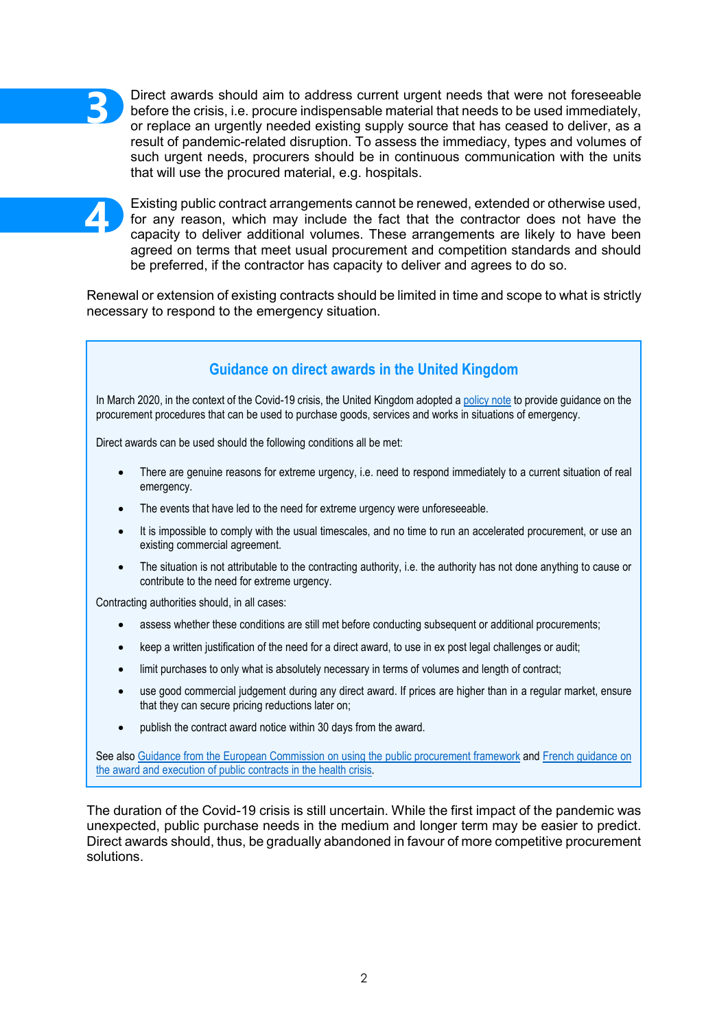

• Direct awards should aim to address current urgent needs that were not foreseeable before the crisis, i.e. procure indispensable material that needs to be used immediately, or replace an urgently needed existing supply source that has ceased to deliver, as a result of pandemic-related disruption. To assess the immediacy, types and volumes of such urgent needs, procurers should be in continuous communication with the units that will use the procured material, e.g. hospitals.

**4**

• Existing public contract arrangements cannot be renewed, extended or otherwise used, for any reason, which may include the fact that the contractor does not have the capacity to deliver additional volumes. These arrangements are likely to have been agreed on terms that meet usual procurement and competition standards and should be preferred, if the contractor has capacity to deliver and agrees to do so.

Renewal or extension of existing contracts should be limited in time and scope to what is strictly necessary to respond to the emergency situation.

## **Guidance on direct awards in the United Kingdom**

In March 2020, in the context of the Covid-19 crisis, the United Kingdom adopted [a policy note](https://www.gov.uk/government/publications/procurement-policy-note-0120-responding-to-covid-19) to provide guidance on the procurement procedures that can be used to purchase goods, services and works in situations of emergency.

Direct awards can be used should the following conditions all be met:

- There are genuine reasons for extreme urgency, i.e. need to respond immediately to a current situation of real emergency.
- The events that have led to the need for extreme urgency were unforeseeable.
- It is impossible to comply with the usual timescales, and no time to run an accelerated procurement, or use an existing commercial agreement.
- The situation is not attributable to the contracting authority, i.e. the authority has not done anything to cause or contribute to the need for extreme urgency.

Contracting authorities should, in all cases:

- assess whether these conditions are still met before conducting subsequent or additional procurements;
- keep a written justification of the need for a direct award, to use in ex post legal challenges or audit;
- limit purchases to only what is absolutely necessary in terms of volumes and length of contract;
- use good commercial judgement during any direct award. If prices are higher than in a regular market, ensure that they can secure pricing reductions later on;
- publish the contract award notice within 30 days from the award.

See also [Guidance from the European Commission on using the public procurement framework](https://eur-lex.europa.eu/legal-content/EN/TXT/?uri=uriserv:OJ.CI.2020.108.01.0001.01.ENG) and French guidance on [the award and execution of public contracts in the health crisis.](https://www.economie.gouv.fr/files/files/directions_services/daj/fiche-passation-marches-situation-crise-sanitaire.pdf)

The duration of the Covid-19 crisis is still uncertain. While the first impact of the pandemic was unexpected, public purchase needs in the medium and longer term may be easier to predict. Direct awards should, thus, be gradually abandoned in favour of more competitive procurement solutions.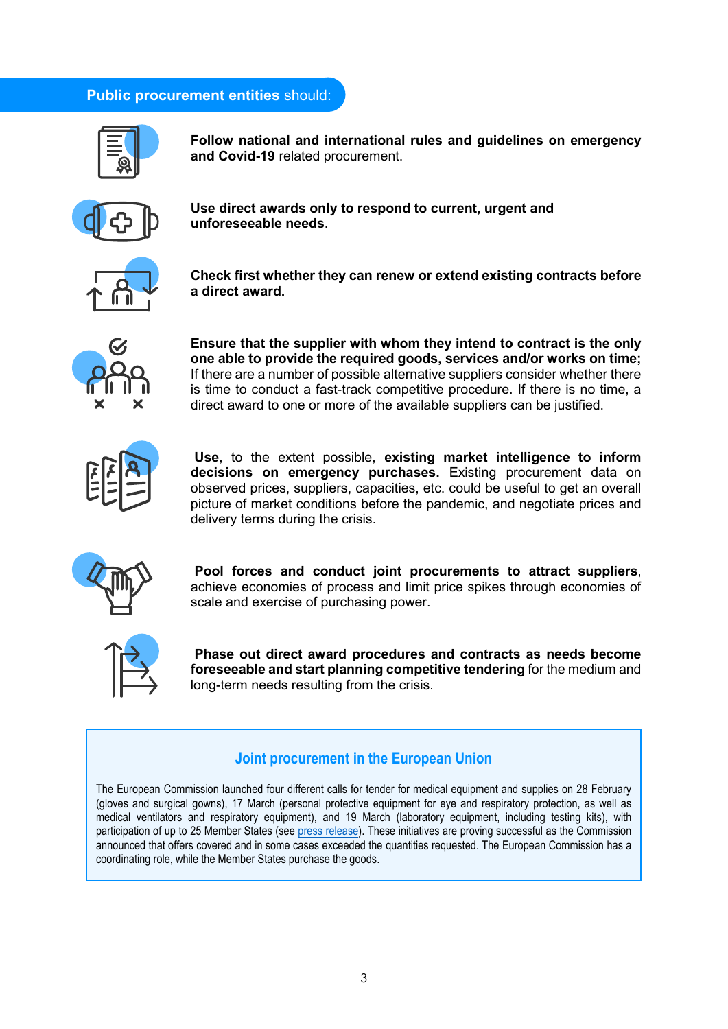#### **Public procurement entities** should:



**Follow national and international rules and guidelines on emergency and Covid-19** related procurement.



**Use direct awards only to respond to current, urgent and unforeseeable needs**.



**Check first whether they can renew or extend existing contracts before a direct award.**



**Ensure that the supplier with whom they intend to contract is the only one able to provide the required goods, services and/or works on time;** If there are a number of possible alternative suppliers consider whether there is time to conduct a fast-track competitive procedure. If there is no time, a direct award to one or more of the available suppliers can be justified.



**Use**, to the extent possible, **existing market intelligence to inform decisions on emergency purchases.** Existing procurement data on observed prices, suppliers, capacities, etc. could be useful to get an overall picture of market conditions before the pandemic, and negotiate prices and delivery terms during the crisis.



**Pool forces and conduct joint procurements to attract suppliers**, achieve economies of process and limit price spikes through economies of scale and exercise of purchasing power.



**Phase out direct award procedures and contracts as needs become foreseeable and start planning competitive tendering** for the medium and long-term needs resulting from the crisis.

#### **Joint procurement in the European Union**

The European Commission launched four different calls for tender for medical equipment and supplies on 28 February (gloves and surgical gowns), 17 March (personal protective equipment for eye and respiratory protection, as well as medical ventilators and respiratory equipment), and 19 March (laboratory equipment, including testing kits), with participation of up to 25 Member States (see [press release\)](https://ec.europa.eu/info/live-work-travel-eu/health/coronavirus-response/public-health_en#ensuring-the-availability-of-supplies-and-equipment). These initiatives are proving successful as the Commission announced that offers covered and in some cases exceeded the quantities requested. The European Commission has a coordinating role, while the Member States purchase the goods.